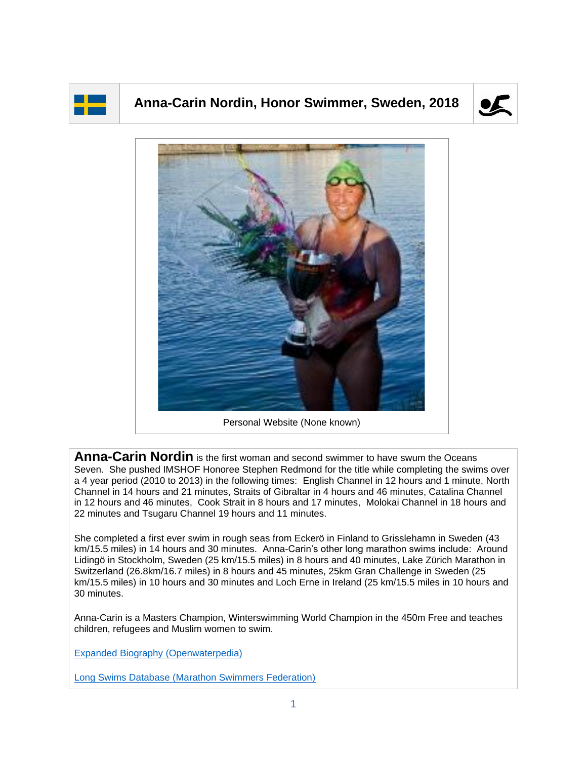

## **Anna-Carin Nordin, Honor Swimmer, Sweden, 2018**





**Anna-Carin Nordin** is the first woman and second swimmer to have swum the Oceans Seven. She pushed IMSHOF Honoree Stephen Redmond for the title while completing the swims over a 4 year period (2010 to 2013) in the following times: English Channel in 12 hours and 1 minute, North Channel in 14 hours and 21 minutes, Straits of Gibraltar in 4 hours and 46 minutes, Catalina Channel in 12 hours and 46 minutes, Cook Strait in 8 hours and 17 minutes, Molokai Channel in 18 hours and 22 minutes and Tsugaru Channel 19 hours and 11 minutes.

She completed a first ever swim in rough seas from Eckerö in Finland to Grisslehamn in Sweden (43 km/15.5 miles) in 14 hours and 30 minutes. Anna-Carin's other long marathon swims include: Around Lidingö in Stockholm, Sweden (25 km/15.5 miles) in 8 hours and 40 minutes, Lake Zürich Marathon in Switzerland (26.8km/16.7 miles) in 8 hours and 45 minutes, 25km Gran Challenge in Sweden (25 km/15.5 miles) in 10 hours and 30 minutes and Loch Erne in Ireland (25 km/15.5 miles in 10 hours and 30 minutes.

Anna-Carin is a Masters Champion, Winterswimming World Champion in the 450m Free and teaches children, refugees and Muslim women to swim.

[Expanded Biography](https://www.openwaterpedia.com/index.php?title=Anna-Carin_Nordin) (Openwaterpedia)

Long Swims Database [\(Marathon Swimmers Federation\)](https://db.marathonswimmers.org/p/anna-carin-nordin/)